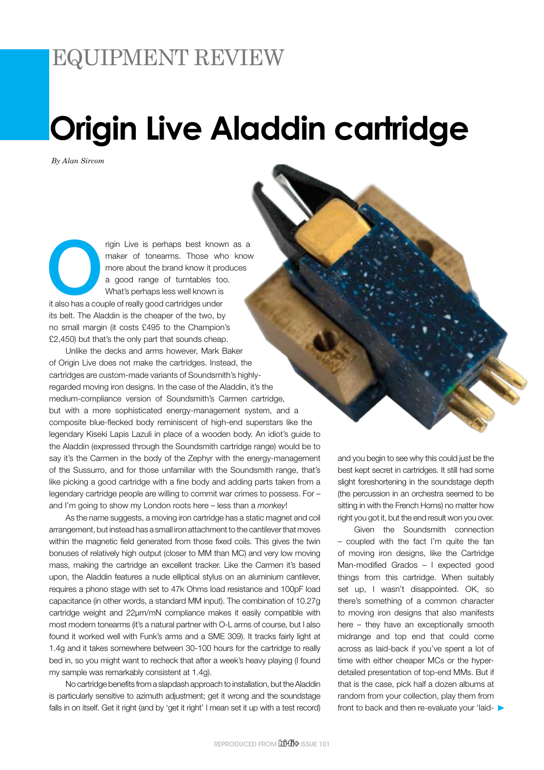## EQUIPMENT REVIEW

# **Origin Live Aladdin cartridge**

*By Alan Sircom*

rigin Live is perhaps best known as a<br>
maker of tonearms. Those who know<br>
more about the brand know it produces<br>
a good range of turntables too.<br>
What's perhaps less well known is<br>
it also has a couple of really good cartr maker of tonearms. Those who know more about the brand know it produces a good range of turntables too. What's perhaps less well known is its belt. The Aladdin is the cheaper of the two, by no small margin (it costs £495 to the Champion's £2,450) but that's the only part that sounds cheap.

Unlike the decks and arms however, Mark Baker of Origin Live does not make the cartridges. Instead, the cartridges are custom-made variants of Soundsmith's highlyregarded moving iron designs. In the case of the Aladdin, it's the medium-compliance version of Soundsmith's Carmen cartridge, but with a more sophisticated energy-management system, and a composite blue-flecked body reminiscent of high-end superstars like the legendary Kiseki Lapis Lazuli in place of a wooden body. An idiot's guide to the Aladdin (expressed through the Soundsmith cartridge range) would be to say it's the Carmen in the body of the Zephyr with the energy-management of the Sussurro, and for those unfamiliar with the Soundsmith range, that's like picking a good cartridge with a fine body and adding parts taken from a legendary cartridge people are willing to commit war crimes to possess. For – and I'm going to show my London roots here – less than a *monkey*!

As the name suggests, a moving iron cartridge has a static magnet and coil arrangement, but instead has a small iron attachment to the cantilever that moves within the magnetic field generated from those fixed coils. This gives the twin bonuses of relatively high output (closer to MM than MC) and very low moving mass, making the cartridge an excellent tracker. Like the Carmen it's based upon, the Aladdin features a nude elliptical stylus on an aluminium cantilever, requires a phono stage with set to 47k Ohms load resistance and 100pF load capacitance (in other words, a standard MM input). The combination of 10.27g cartridge weight and 22µm/mN compliance makes it easily compatible with most modern tonearms (it's a natural partner with O-L arms of course, but I also found it worked well with Funk's arms and a SME 309). It tracks fairly light at 1.4g and it takes somewhere between 30-100 hours for the cartridge to really bed in, so you might want to recheck that after a week's heavy playing (I found my sample was remarkably consistent at 1.4g).

No cartridge benefits from a slapdash approach to installation, but the Aladdin is particularly sensitive to azimuth adjustment; get it wrong and the soundstage falls in on itself. Get it right (and by 'get it right' I mean set it up with a test record)

and you begin to see why this could just be the best kept secret in cartridges. It still had some slight foreshortening in the soundstage depth (the percussion in an orchestra seemed to be sitting in with the French Horns) no matter how right you got it, but the end result won you over.

Given the Soundsmith connection – coupled with the fact I'm quite the fan of moving iron designs, like the Cartridge Man-modified Grados – I expected good things from this cartridge. When suitably set up, I wasn't disappointed. OK, so there's something of a common character to moving iron designs that also manifests here – they have an exceptionally smooth midrange and top end that could come across as laid-back if you've spent a lot of time with either cheaper MCs or the hyperdetailed presentation of top-end MMs. But if that is the case, pick half a dozen albums at random from your collection, play them from front to back and then re-evaluate your 'laid-